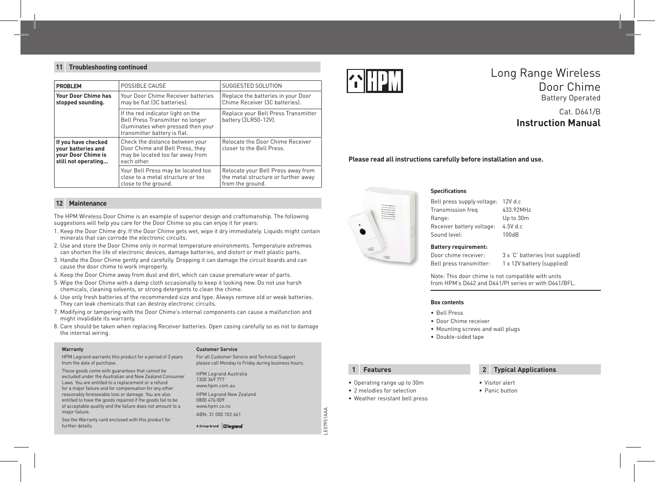### **11 Troubleshooting continued**

| <b>PROBLEM</b>                                                                         | POSSIBLE CAUSE                                                                                                                              | SUGGESTED SOLUTION                                                                            |
|----------------------------------------------------------------------------------------|---------------------------------------------------------------------------------------------------------------------------------------------|-----------------------------------------------------------------------------------------------|
| Your Door Chime has<br>stopped sounding.                                               | Your Door Chime Receiver batteries<br>may be flat (3C batteries).                                                                           | Replace the batteries in your Door<br>Chime Receiver (3C batteries).                          |
|                                                                                        | If the red indicator light on the<br>Bell Press Transmitter no longer<br>illuminates when pressed then your<br>transmitter battery is flat. | Replace your Bell Press Transmitter<br>battery (3LR50-12V).                                   |
| If you have checked<br>vour batteries and<br>vour Door Chime is<br>still not operating | Check the distance between your<br>Door Chime and Bell Press, they<br>may be located too far away from<br>each other.                       | Relocate the Door Chime Receiver<br>closer to the Bell Press.                                 |
|                                                                                        | Your Bell Press may be located too<br>close to a metal structure or too.<br>close to the ground.                                            | Relocate your Bell Press away from<br>the metal structure or further away<br>from the ground. |

#### **Maintenance 12**

The HPM Wireless Door Chime is an example of superior design and craftsmanship. The following suggestions will help you care for the Door Chime so you can enjoy it for years:

- 1. Keep the Door Chime dry. If the Door Chime gets wet, wipe it dry immediately. Liquids might contain minerals that can corrode the electronic circuits.
- 2. Use and store the Door Chime only in normal temperature environments. Temperature extremes can shorten the life of electronic devices, damage batteries, and distort or melt plastic parts.
- 3. Handle the Door Chime gently and carefully. Dropping it can damage the circuit boards and can cause the door chime to work improperly.
- 4. Keep the Door Chime away from dust and dirt, which can cause premature wear of parts.
- 5. Wipe the Door Chime with a damp cloth occasionally to keep it looking new. Do not use harsh chemicals, cleaning solvents, or strong detergents to clean the chime.
- 6. Use only fresh batteries of the recommended size and type. Always remove old or weak batteries. They can leak chemicals that can destroy electronic circuits.
- 7. Modifying or tampering with the Door Chime's internal components can cause a malfunction and might invalidate its warranty.
- 8. Care should be taken when replacing Receiver batteries. Open casing carefully so as not to damage the internal wiring.

#### **Warranty**

HPM Legrand warrants this product for a period of 3 years from the date of purchase.

These goods come with guarantees that cannot be excluded under the Australian and New Zealand Consumer Laws. You are entitled to a replacement or a refund for a major failure and for compensation for any other reasonably foreseeable loss or damage. You are also entitled to have the goods repaired if the goods fail to be of acceptable quality and the failure does not amount to a major failure.

See the Warranty card enclosed with this product for further details.

#### **Customer Service**

For all Customer Service and Technical Support please call Monday to Friday during business hours.

HPM Legrand Australia 1300 369 777 www.hpm.com.au HPM Legrand New Zealand 0800 476 009 www.hpm.co.nz ABN: 31 000 102 661

A Group brand | D legrand



# Long Range Wireless Door Chime Battery Operated

## Cat. D641/B **Instruction Manual**

#### **Please read all instructions carefully before installation and use.**



### **Specifications**

Bell press supply voltage: 12V d.c Transmission freq 433.92MHz Range: Up to 30m Receiver battery voltage: 4.5V d.c Sound level: 100dB

### **Battery requirement:**

Door chime receiver: 3 x C' batteries (not supplied)

Bell press transmitter: 1 x 12V battery (supplied)

Note: This door chime is not compatible with units from HPM's D642 and D641/PI series or with D641/BFL.

#### **Box contents**

- • Bell Press
- • Door Chime receiver
- • Mounting screws and wall plugs
- • Double-sided tape

LE07951AAA

E07951AAA

- • Operating range up to 30m
- 2 melodies for selection
- • Weather resistant bell press

#### **1 Features 2 Typical Applications**

- • Visitor alert
- Panic button